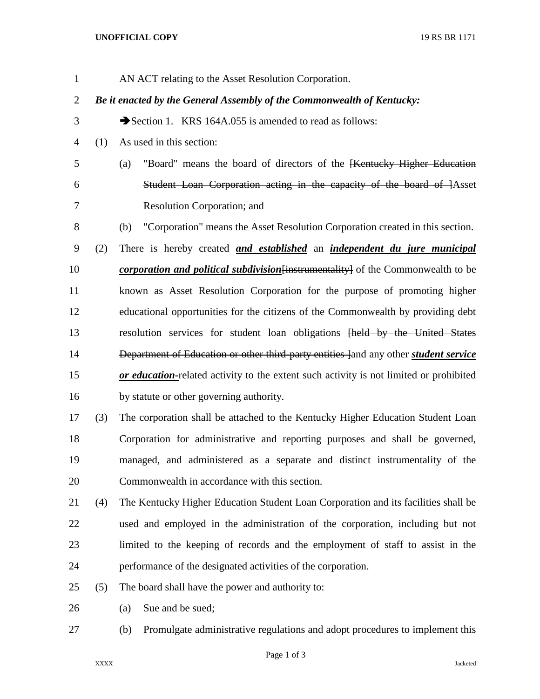## **UNOFFICIAL COPY** 19 RS BR 1171

|     | AN ACT relating to the Asset Resolution Corporation.                                        |
|-----|---------------------------------------------------------------------------------------------|
|     | Be it enacted by the General Assembly of the Commonwealth of Kentucky:                      |
|     | Section 1. KRS 164A.055 is amended to read as follows:                                      |
| (1) | As used in this section:                                                                    |
|     | "Board" means the board of directors of the <del>[Kentucky Higher Education</del> "<br>(a)  |
|     | Student Loan Corporation acting in the capacity of the board of <i>Asset</i>                |
|     | Resolution Corporation; and                                                                 |
|     | "Corporation" means the Asset Resolution Corporation created in this section.<br>(b)        |
| (2) | There is hereby created and established an independent du jure municipal                    |
|     | <i>corporation and political subdivision</i> [instrumentality] of the Commonwealth to be    |
|     | known as Asset Resolution Corporation for the purpose of promoting higher                   |
|     | educational opportunities for the citizens of the Commonwealth by providing debt            |
|     | resolution services for student loan obligations [held by the United States                 |
|     | Department of Education or other third-party entities land any other <i>student service</i> |
|     | or education-related activity to the extent such activity is not limited or prohibited      |
|     | by statute or other governing authority.                                                    |
| (3) | The corporation shall be attached to the Kentucky Higher Education Student Loan             |
|     | Corporation for administrative and reporting purposes and shall be governed,                |
|     | managed, and administered as a separate and distinct instrumentality of the                 |
|     | Commonwealth in accordance with this section.                                               |
| (4) | The Kentucky Higher Education Student Loan Corporation and its facilities shall be          |
|     | used and employed in the administration of the corporation, including but not               |
|     | limited to the keeping of records and the employment of staff to assist in the              |
|     | performance of the designated activities of the corporation.                                |
| (5) | The board shall have the power and authority to:                                            |
|     | Sue and be sued;<br>(a)                                                                     |
|     |                                                                                             |

(b) Promulgate administrative regulations and adopt procedures to implement this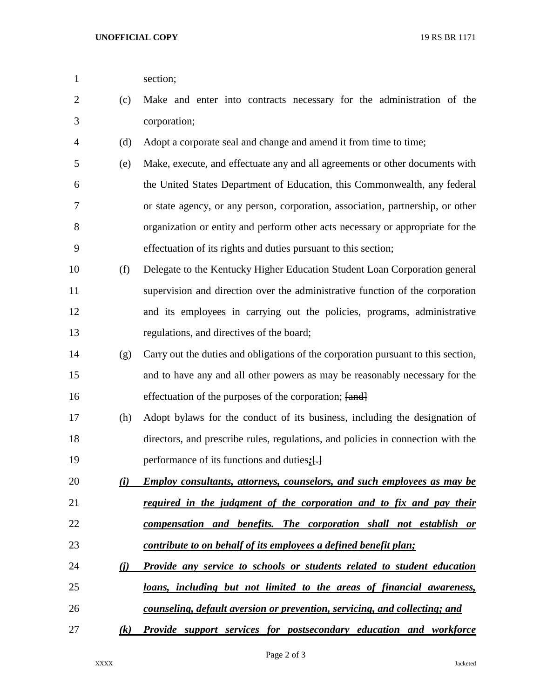1 section;

| $\overline{2}$ | (c)        | Make and enter into contracts necessary for the administration of the             |
|----------------|------------|-----------------------------------------------------------------------------------|
| 3              |            | corporation;                                                                      |
| 4              | (d)        | Adopt a corporate seal and change and amend it from time to time;                 |
| 5              | (e)        | Make, execute, and effectuate any and all agreements or other documents with      |
| 6              |            | the United States Department of Education, this Commonwealth, any federal         |
| 7              |            | or state agency, or any person, corporation, association, partnership, or other   |
| 8              |            | organization or entity and perform other acts necessary or appropriate for the    |
| 9              |            | effectuation of its rights and duties pursuant to this section;                   |
| 10             | (f)        | Delegate to the Kentucky Higher Education Student Loan Corporation general        |
| 11             |            | supervision and direction over the administrative function of the corporation     |
| 12             |            | and its employees in carrying out the policies, programs, administrative          |
| 13             |            | regulations, and directives of the board;                                         |
| 14             | (g)        | Carry out the duties and obligations of the corporation pursuant to this section, |
| 15             |            | and to have any and all other powers as may be reasonably necessary for the       |
| 16             |            | effectuation of the purposes of the corporation; [and]                            |
| 17             | (h)        | Adopt bylaws for the conduct of its business, including the designation of        |
| 18             |            | directors, and prescribe rules, regulations, and policies in connection with the  |
| 19             |            | performance of its functions and duties; []                                       |
| 20             | <u>(i)</u> | Employ consultants, attorneys, counselors, and such employees as may be           |
| 21             |            | required in the judgment of the corporation and to fix and pay their              |
| 22             |            | compensation and benefits. The corporation shall not establish or                 |
| 23             |            | contribute to on behalf of its employees a defined benefit plan;                  |
| 24             | <u>(i)</u> | Provide any service to schools or students related to student education           |
| 25             |            | loans, including but not limited to the areas of financial awareness,             |
| 26             |            | counseling, default aversion or prevention, servicing, and collecting; and        |
| 27             | (k)        | <b>Provide support services for postsecondary education and workforce</b>         |